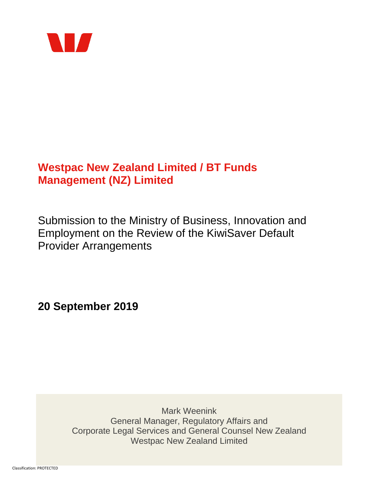

# **Westpac New Zealand Limited / BT Funds Management (NZ) Limited**

Submission to the Ministry of Business, Innovation and Employment on the Review of the KiwiSaver Default Provider Arrangements

**20 September 2019**

Mark Weenink General Manager, Regulatory Affairs and Corporate Legal Services and General Counsel New Zealand Westpac New Zealand Limited

Classification: PROTECTED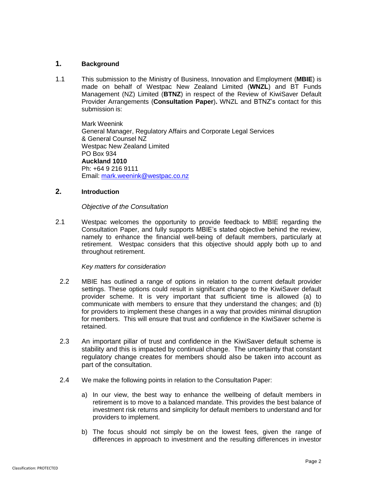### **1. Background**

1.1 This submission to the Ministry of Business, Innovation and Employment (**MBIE**) is made on behalf of Westpac New Zealand Limited (**WNZL**) and BT Funds Management (NZ) Limited (**BTNZ**) in respect of the Review of KiwiSaver Default Provider Arrangements (**Consultation Paper**)**.** WNZL and BTNZ's contact for this submission is:

Mark Weenink General Manager, Regulatory Affairs and Corporate Legal Services & General Counsel NZ Westpac New Zealand Limited PO Box 934 **Auckland 1010** Ph: +64 9 216 9111 Email: [mark.weenink@westpac.co.nz](mailto:mark_weenink@westpac.co.nz)

### **2. Introduction**

### *Objective of the Consultation*

2.1 Westpac welcomes the opportunity to provide feedback to MBIE regarding the Consultation Paper, and fully supports MBIE's stated objective behind the review, namely to enhance the financial well-being of default members, particularly at retirement. Westpac considers that this objective should apply both up to and throughout retirement.

### *Key matters for consideration*

- 2.2 MBIE has outlined a range of options in relation to the current default provider settings. These options could result in significant change to the KiwiSaver default provider scheme. It is very important that sufficient time is allowed (a) to communicate with members to ensure that they understand the changes; and (b) for providers to implement these changes in a way that provides minimal disruption for members. This will ensure that trust and confidence in the KiwiSaver scheme is retained.
- 2.3 An important pillar of trust and confidence in the KiwiSaver default scheme is stability and this is impacted by continual change. The uncertainty that constant regulatory change creates for members should also be taken into account as part of the consultation.
- 2.4 We make the following points in relation to the Consultation Paper:
	- a) In our view, the best way to enhance the wellbeing of default members in retirement is to move to a balanced mandate. This provides the best balance of investment risk returns and simplicity for default members to understand and for providers to implement.
	- b) The focus should not simply be on the lowest fees, given the range of differences in approach to investment and the resulting differences in investor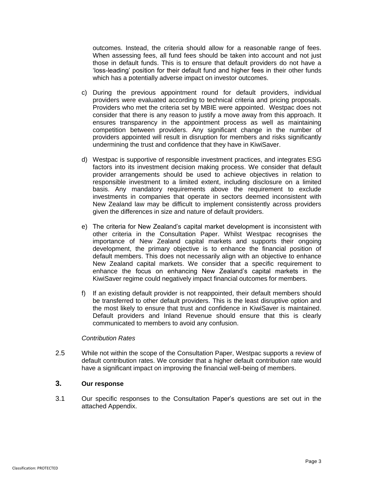outcomes. Instead, the criteria should allow for a reasonable range of fees. When assessing fees, all fund fees should be taken into account and not just those in default funds. This is to ensure that default providers do not have a 'loss-leading' position for their default fund and higher fees in their other funds which has a potentially adverse impact on investor outcomes.

- c) During the previous appointment round for default providers, individual providers were evaluated according to technical criteria and pricing proposals. Providers who met the criteria set by MBIE were appointed. Westpac does not consider that there is any reason to justify a move away from this approach. It ensures transparency in the appointment process as well as maintaining competition between providers. Any significant change in the number of providers appointed will result in disruption for members and risks significantly undermining the trust and confidence that they have in KiwiSaver.
- d) Westpac is supportive of responsible investment practices, and integrates ESG factors into its investment decision making process. We consider that default provider arrangements should be used to achieve objectives in relation to responsible investment to a limited extent, including disclosure on a limited basis. Any mandatory requirements above the requirement to exclude investments in companies that operate in sectors deemed inconsistent with New Zealand law may be difficult to implement consistently across providers given the differences in size and nature of default providers.
- e) The criteria for New Zealand's capital market development is inconsistent with other criteria in the Consultation Paper. Whilst Westpac recognises the importance of New Zealand capital markets and supports their ongoing development, the primary objective is to enhance the financial position of default members. This does not necessarily align with an objective to enhance New Zealand capital markets. We consider that a specific requirement to enhance the focus on enhancing New Zealand's capital markets in the KiwiSaver regime could negatively impact financial outcomes for members.
- f) If an existing default provider is not reappointed, their default members should be transferred to other default providers. This is the least disruptive option and the most likely to ensure that trust and confidence in KiwiSaver is maintained. Default providers and Inland Revenue should ensure that this is clearly communicated to members to avoid any confusion.

#### *Contribution Rates*

2.5 While not within the scope of the Consultation Paper, Westpac supports a review of default contribution rates. We consider that a higher default contribution rate would have a significant impact on improving the financial well-being of members.

## **3. Our response**

3.1 Our specific responses to the Consultation Paper's questions are set out in the attached Appendix.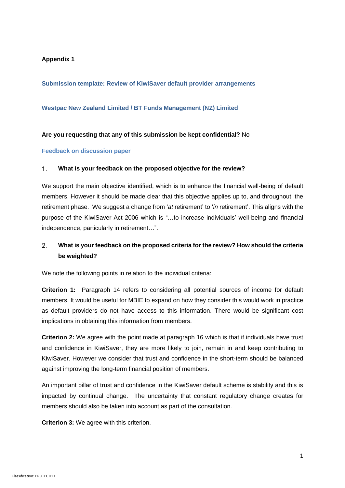### **Appendix 1**

**Submission template: Review of KiwiSaver default provider arrangements**

### **Westpac New Zealand Limited / BT Funds Management (NZ) Limited**

### **Are you requesting that any of this submission be kept confidential?** No

#### **Feedback on discussion paper**

#### $1<sup>1</sup>$ **What is your feedback on the proposed objective for the review?**

We support the main objective identified, which is to enhance the financial well-being of default members. However it should be made clear that this objective applies up to, and throughout, the retirement phase. We suggest a change from '*at* retirement' to '*in* retirement'. This aligns with the purpose of the KiwiSaver Act 2006 which is "…to increase individuals' well-being and financial independence, particularly in retirement…".

#### $\mathcal{P}$ **What is your feedback on the proposed criteria for the review? How should the criteria be weighted?**

We note the following points in relation to the individual criteria:

**Criterion 1:** Paragraph 14 refers to considering all potential sources of income for default members. It would be useful for MBIE to expand on how they consider this would work in practice as default providers do not have access to this information. There would be significant cost implications in obtaining this information from members.

**Criterion 2:** We agree with the point made at paragraph 16 which is that if individuals have trust and confidence in KiwiSaver, they are more likely to join, remain in and keep contributing to KiwiSaver. However we consider that trust and confidence in the short-term should be balanced against improving the long-term financial position of members.

An important pillar of trust and confidence in the KiwiSaver default scheme is stability and this is impacted by continual change. The uncertainty that constant regulatory change creates for members should also be taken into account as part of the consultation.

**Criterion 3:** We agree with this criterion.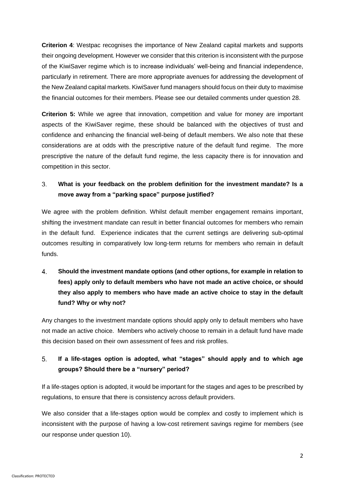**Criterion 4**: Westpac recognises the importance of New Zealand capital markets and supports their ongoing development. However we consider that this criterion is inconsistent with the purpose of the KiwiSaver regime which is to increase individuals' well-being and financial independence, particularly in retirement. There are more appropriate avenues for addressing the development of the New Zealand capital markets. KiwiSaver fund managers should focus on their duty to maximise the financial outcomes for their members. Please see our detailed comments under question 28.

**Criterion 5:** While we agree that innovation, competition and value for money are important aspects of the KiwiSaver regime, these should be balanced with the objectives of trust and confidence and enhancing the financial well-being of default members. We also note that these considerations are at odds with the prescriptive nature of the default fund regime. The more prescriptive the nature of the default fund regime, the less capacity there is for innovation and competition in this sector.

#### $3<sub>l</sub>$ **What is your feedback on the problem definition for the investment mandate? Is a move away from a "parking space" purpose justified?**

We agree with the problem definition. Whilst default member engagement remains important, shifting the investment mandate can result in better financial outcomes for members who remain in the default fund. Experience indicates that the current settings are delivering sub-optimal outcomes resulting in comparatively low long-term returns for members who remain in default funds.

# $\overline{4}$ **Should the investment mandate options (and other options, for example in relation to fees) apply only to default members who have not made an active choice, or should they also apply to members who have made an active choice to stay in the default fund? Why or why not?**

Any changes to the investment mandate options should apply only to default members who have not made an active choice. Members who actively choose to remain in a default fund have made this decision based on their own assessment of fees and risk profiles.

#### 5. **If a life-stages option is adopted, what "stages" should apply and to which age groups? Should there be a "nursery" period?**

If a life-stages option is adopted, it would be important for the stages and ages to be prescribed by regulations, to ensure that there is consistency across default providers.

We also consider that a life-stages option would be complex and costly to implement which is inconsistent with the purpose of having a low-cost retirement savings regime for members (see our response under question 10).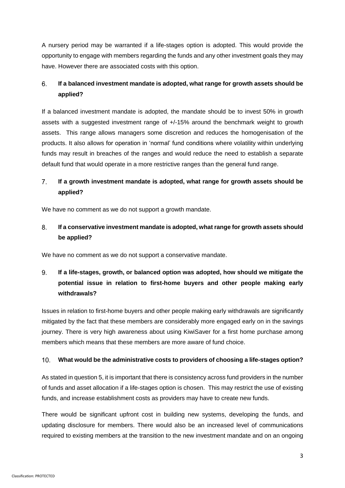A nursery period may be warranted if a life-stages option is adopted. This would provide the opportunity to engage with members regarding the funds and any other investment goals they may have. However there are associated costs with this option.

#### 6. **If a balanced investment mandate is adopted, what range for growth assets should be applied?**

If a balanced investment mandate is adopted, the mandate should be to invest 50% in growth assets with a suggested investment range of +/-15% around the benchmark weight to growth assets. This range allows managers some discretion and reduces the homogenisation of the products. It also allows for operation in 'normal' fund conditions where volatility within underlying funds may result in breaches of the ranges and would reduce the need to establish a separate default fund that would operate in a more restrictive ranges than the general fund range.

#### $\overline{7}$ . **If a growth investment mandate is adopted, what range for growth assets should be applied?**

We have no comment as we do not support a growth mandate.

#### 8. **If a conservative investment mandate is adopted, what range for growth assets should be applied?**

We have no comment as we do not support a conservative mandate.

### $9<sub>1</sub>$ **If a life-stages, growth, or balanced option was adopted, how should we mitigate the potential issue in relation to first-home buyers and other people making early withdrawals?**

Issues in relation to first-home buyers and other people making early withdrawals are significantly mitigated by the fact that these members are considerably more engaged early on in the savings journey. There is very high awareness about using KiwiSaver for a first home purchase among members which means that these members are more aware of fund choice.

#### $10<sub>1</sub>$ **What would be the administrative costs to providers of choosing a life-stages option?**

As stated in question 5, it is important that there is consistency across fund providers in the number of funds and asset allocation if a life-stages option is chosen. This may restrict the use of existing funds, and increase establishment costs as providers may have to create new funds.

There would be significant upfront cost in building new systems, developing the funds, and updating disclosure for members. There would also be an increased level of communications required to existing members at the transition to the new investment mandate and on an ongoing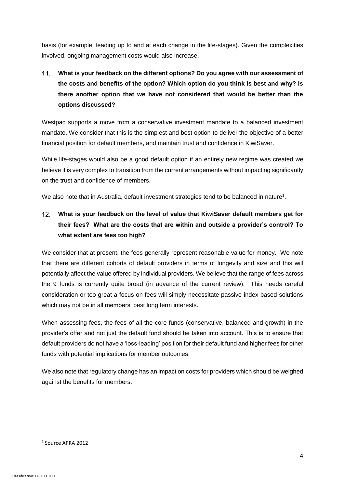basis (for example, leading up to and at each change in the life-stages). Given the complexities involved, ongoing management costs would also increase.

# **What is your feedback on the different options? Do you agree with our assessment of**   $11.$ **the costs and benefits of the option? Which option do you think is best and why? Is there another option that we have not considered that would be better than the options discussed?**

Westpac supports a move from a conservative investment mandate to a balanced investment mandate. We consider that this is the simplest and best option to deliver the objective of a better financial position for default members, and maintain trust and confidence in KiwiSaver.

While life-stages would also be a good default option if an entirely new regime was created we believe it is very complex to transition from the current arrangements without impacting significantly on the trust and confidence of members.

We also note that in Australia, default investment strategies tend to be balanced in nature<sup>1</sup>.

### $12<sub>1</sub>$ **What is your feedback on the level of value that KiwiSaver default members get for their fees? What are the costs that are within and outside a provider's control? To what extent are fees too high?**

We consider that at present, the fees generally represent reasonable value for money. We note that there are different cohorts of default providers in terms of longevity and size and this will potentially affect the value offered by individual providers. We believe that the range of fees across the 9 funds is currently quite broad (in advance of the current review). This needs careful consideration or too great a focus on fees will simply necessitate passive index based solutions which may not be in all members' best long term interests.

When assessing fees, the fees of all the core funds (conservative, balanced and growth) in the provider's offer and not just the default fund should be taken into account. This is to ensure that default providers do not have a 'loss-leading' position for their default fund and higher fees for other funds with potential implications for member outcomes.

We also note that regulatory change has an impact on costs for providers which should be weighed against the benefits for members.

**.** 

<sup>1</sup> Source APRA 2012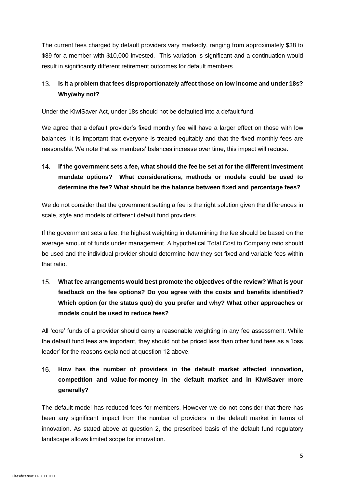The current fees charged by default providers vary markedly, ranging from approximately \$38 to \$89 for a member with \$10,000 invested. This variation is significant and a continuation would result in significantly different retirement outcomes for default members.

#### $13.$ **Is it a problem that fees disproportionately affect those on low income and under 18s? Why/why not?**

Under the KiwiSaver Act, under 18s should not be defaulted into a default fund.

We agree that a default provider's fixed monthly fee will have a larger effect on those with low balances. It is important that everyone is treated equitably and that the fixed monthly fees are reasonable. We note that as members' balances increase over time, this impact will reduce.

### $14$ **If the government sets a fee, what should the fee be set at for the different investment mandate options? What considerations, methods or models could be used to determine the fee? What should be the balance between fixed and percentage fees?**

We do not consider that the government setting a fee is the right solution given the differences in scale, style and models of different default fund providers.

If the government sets a fee, the highest weighting in determining the fee should be based on the average amount of funds under management. A hypothetical Total Cost to Company ratio should be used and the individual provider should determine how they set fixed and variable fees within that ratio.

 $15<sub>1</sub>$ **What fee arrangements would best promote the objectives of the review? What is your feedback on the fee options? Do you agree with the costs and benefits identified? Which option (or the status quo) do you prefer and why? What other approaches or models could be used to reduce fees?** 

All 'core' funds of a provider should carry a reasonable weighting in any fee assessment. While the default fund fees are important, they should not be priced less than other fund fees as a 'loss leader' for the reasons explained at question 12 above.

### $16.$ **How has the number of providers in the default market affected innovation, competition and value-for-money in the default market and in KiwiSaver more generally?**

The default model has reduced fees for members. However we do not consider that there has been any significant impact from the number of providers in the default market in terms of innovation. As stated above at question 2, the prescribed basis of the default fund regulatory landscape allows limited scope for innovation.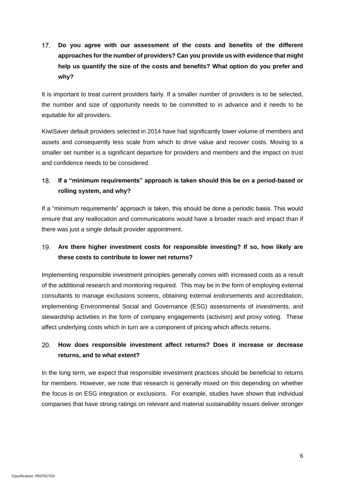$17<sub>1</sub>$ **Do you agree with our assessment of the costs and benefits of the different approaches for the number of providers? Can you provide us with evidence that might help us quantify the size of the costs and benefits? What option do you prefer and why?**

It is important to treat current providers fairly. If a smaller number of providers is to be selected, the number and size of opportunity needs to be committed to in advance and it needs to be equitable for all providers.

KiwiSaver default providers selected in 2014 have had significantly lower volume of members and assets and consequently less scale from which to drive value and recover costs. Moving to a smaller set number is a significant departure for providers and members and the impact on trust and confidence needs to be considered.

#### **If a "minimum requirements" approach is taken should this be on a period-based or**   $18.$ **rolling system, and why?**

If a "minimum requirements" approach is taken, this should be done a periodic basis. This would ensure that any reallocation and communications would have a broader reach and impact than if there was just a single default provider appointment.

#### $19<sub>1</sub>$ **Are there higher investment costs for responsible investing? If so, how likely are these costs to contribute to lower net returns?**

Implementing responsible investment principles generally comes with increased costs as a result of the additional research and monitoring required. This may be in the form of employing external consultants to manage exclusions screens, obtaining external endorsements and accreditation, implementing Environmental Social and Governance (ESG) assessments of investments, and stewardship activities in the form of company engagements (activism) and proxy voting. These affect underlying costs which in turn are a component of pricing which affects returns.

#### $20.$ **How does responsible investment affect returns? Does it increase or decrease returns, and to what extent?**

In the long term, we expect that responsible investment practices should be beneficial to returns for members. However, we note that research is generally mixed on this depending on whether the focus is on ESG integration or exclusions. For example, studies have shown that individual companies that have strong ratings on relevant and material sustainability issues deliver stronger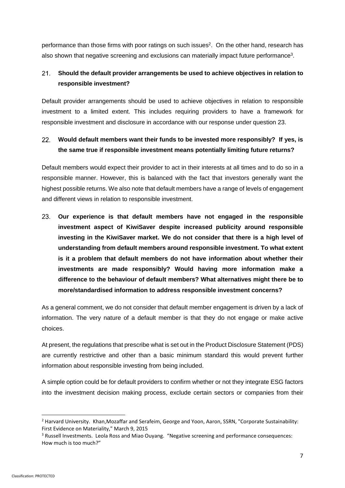performance than those firms with poor ratings on such issues<sup>2</sup>. On the other hand, research has also shown that negative screening and exclusions can materially impact future performance<sup>3</sup>.

#### **Should the default provider arrangements be used to achieve objectives in relation to**   $21.$ **responsible investment?**

Default provider arrangements should be used to achieve objectives in relation to responsible investment to a limited extent. This includes requiring providers to have a framework for responsible investment and disclosure in accordance with our response under question 23.

#### $22<sub>2</sub>$ **Would default members want their funds to be invested more responsibly? If yes, is the same true if responsible investment means potentially limiting future returns?**

Default members would expect their provider to act in their interests at all times and to do so in a responsible manner. However, this is balanced with the fact that investors generally want the highest possible returns. We also note that default members have a range of levels of engagement and different views in relation to responsible investment.

 $23.$ **Our experience is that default members have not engaged in the responsible investment aspect of KiwiSaver despite increased publicity around responsible investing in the KiwiSaver market. We do not consider that there is a high level of understanding from default members around responsible investment. To what extent is it a problem that default members do not have information about whether their investments are made responsibly? Would having more information make a difference to the behaviour of default members? What alternatives might there be to more/standardised information to address responsible investment concerns?**

As a general comment, we do not consider that default member engagement is driven by a lack of information. The very nature of a default member is that they do not engage or make active choices.

At present, the regulations that prescribe what is set out in the Product Disclosure Statement (PDS) are currently restrictive and other than a basic minimum standard this would prevent further information about responsible investing from being included.

A simple option could be for default providers to confirm whether or not they integrate ESG factors into the investment decision making process, exclude certain sectors or companies from their

1

<sup>&</sup>lt;sup>2</sup> Harvard University. Khan, Mozaffar and Serafeim, George and Yoon, Aaron, SSRN, "Corporate Sustainability: First Evidence on Materiality," March 9, 2015

<sup>3</sup> Russell Investments. Leola Ross and Miao Ouyang. "Negative screening and performance consequences: How much is too much?"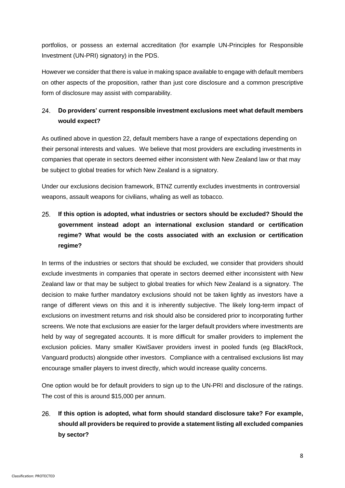portfolios, or possess an external accreditation (for example UN-Principles for Responsible Investment (UN-PRI) signatory) in the PDS.

However we consider that there is value in making space available to engage with default members on other aspects of the proposition, rather than just core disclosure and a common prescriptive form of disclosure may assist with comparability.

#### 24. **Do providers' current responsible investment exclusions meet what default members would expect?**

As outlined above in question 22, default members have a range of expectations depending on their personal interests and values. We believe that most providers are excluding investments in companies that operate in sectors deemed either inconsistent with New Zealand law or that may be subject to global treaties for which New Zealand is a signatory.

Under our exclusions decision framework, BTNZ currently excludes investments in controversial weapons, assault weapons for civilians, whaling as well as tobacco.

## $25.$ **If this option is adopted, what industries or sectors should be excluded? Should the government instead adopt an international exclusion standard or certification regime? What would be the costs associated with an exclusion or certification regime?**

In terms of the industries or sectors that should be excluded, we consider that providers should exclude investments in companies that operate in sectors deemed either inconsistent with New Zealand law or that may be subject to global treaties for which New Zealand is a signatory. The decision to make further mandatory exclusions should not be taken lightly as investors have a range of different views on this and it is inherently subjective. The likely long-term impact of exclusions on investment returns and risk should also be considered prior to incorporating further screens. We note that exclusions are easier for the larger default providers where investments are held by way of segregated accounts. It is more difficult for smaller providers to implement the exclusion policies. Many smaller KiwiSaver providers invest in pooled funds (eg BlackRock, Vanguard products) alongside other investors. Compliance with a centralised exclusions list may encourage smaller players to invest directly, which would increase quality concerns.

One option would be for default providers to sign up to the UN-PRI and disclosure of the ratings. The cost of this is around \$15,000 per annum.

### $26.$ **If this option is adopted, what form should standard disclosure take? For example, should all providers be required to provide a statement listing all excluded companies by sector?**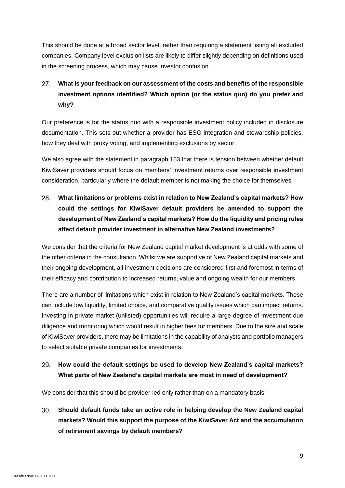This should be done at a broad sector level, rather than requiring a statement listing all excluded companies. Company level exclusion lists are likely to differ slightly depending on definitions used in the screening process, which may cause investor confusion.

### $27.$ **What is your feedback on our assessment of the costs and benefits of the responsible investment options identified? Which option (or the status quo) do you prefer and why?**

Our preference is for the status quo with a responsible investment policy included in disclosure documentation. This sets out whether a provider has ESG integration and stewardship policies, how they deal with proxy voting, and implementing exclusions by sector.

We also agree with the statement in paragraph 153 that there is tension between whether default KiwiSaver providers should focus on members' investment returns over responsible investment consideration, particularly where the default member is not making the choice for themselves.

28. **What limitations or problems exist in relation to New Zealand's capital markets? How could the settings for KiwiSaver default providers be amended to support the development of New Zealand's capital markets? How do the liquidity and pricing rules affect default provider investment in alternative New Zealand investments?**

We consider that the criteria for New Zealand capital market development is at odds with some of the other criteria in the consultation. Whilst we are supportive of New Zealand capital markets and their ongoing development, all investment decisions are considered first and foremost in terms of their efficacy and contribution to increased returns, value and ongoing wealth for our members.

There are a number of limitations which exist in relation to New Zealand's capital markets. These can include low liquidity, limited choice, and comparative quality issues which can impact returns. Investing in private market (unlisted) opportunities will require a large degree of investment due diligence and monitoring which would result in higher fees for members. Due to the size and scale of KiwiSaver providers, there may be limitations in the capability of analysts and portfolio managers to select suitable private companies for investments.

#### 29. **How could the default settings be used to develop New Zealand's capital markets? What parts of New Zealand's capital markets are most in need of development?**

We consider that this should be provider-led only rather than on a mandatory basis.

 $30.$ **Should default funds take an active role in helping develop the New Zealand capital markets? Would this support the purpose of the KiwiSaver Act and the accumulation of retirement savings by default members?**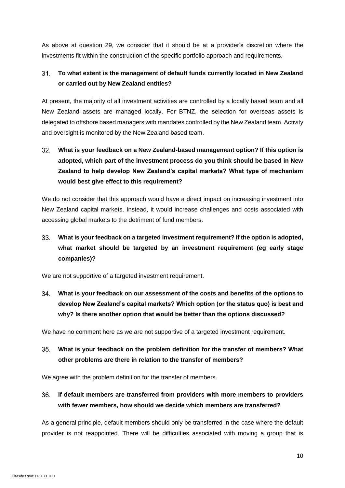As above at question 29, we consider that it should be at a provider's discretion where the investments fit within the construction of the specific portfolio approach and requirements.

#### **To what extent is the management of default funds currently located in New Zealand**   $31.$ **or carried out by New Zealand entities?**

At present, the majority of all investment activities are controlled by a locally based team and all New Zealand assets are managed locally. For BTNZ, the selection for overseas assets is delegated to offshore based managers with mandates controlled by the New Zealand team. Activity and oversight is monitored by the New Zealand based team.

# **What is your feedback on a New Zealand-based management option? If this option is**   $32<sub>1</sub>$ **adopted, which part of the investment process do you think should be based in New Zealand to help develop New Zealand's capital markets? What type of mechanism would best give effect to this requirement?**

We do not consider that this approach would have a direct impact on increasing investment into New Zealand capital markets. Instead, it would increase challenges and costs associated with accessing global markets to the detriment of fund members.

### $33.$ **What is your feedback on a targeted investment requirement? If the option is adopted, what market should be targeted by an investment requirement (eg early stage companies)?**

We are not supportive of a targeted investment requirement.

 $34.$ **What is your feedback on our assessment of the costs and benefits of the options to develop New Zealand's capital markets? Which option (or the status quo) is best and why? Is there another option that would be better than the options discussed?**

We have no comment here as we are not supportive of a targeted investment requirement.

#### **What is your feedback on the problem definition for the transfer of members? What**   $35.$ **other problems are there in relation to the transfer of members?**

We agree with the problem definition for the transfer of members.

**If default members are transferred from providers with more members to providers**   $36.$ **with fewer members, how should we decide which members are transferred?**

As a general principle, default members should only be transferred in the case where the default provider is not reappointed. There will be difficulties associated with moving a group that is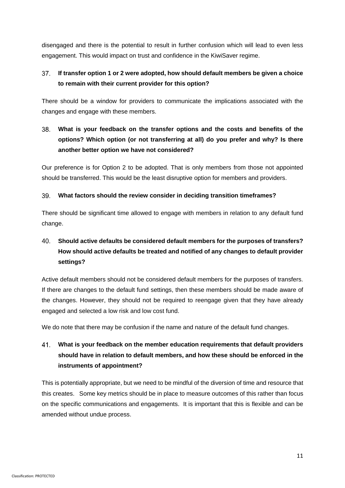disengaged and there is the potential to result in further confusion which will lead to even less engagement. This would impact on trust and confidence in the KiwiSaver regime.

#### $37<sub>1</sub>$ **If transfer option 1 or 2 were adopted, how should default members be given a choice to remain with their current provider for this option?**

There should be a window for providers to communicate the implications associated with the changes and engage with these members.

### $38.$ **What is your feedback on the transfer options and the costs and benefits of the options? Which option (or not transferring at all) do you prefer and why? Is there another better option we have not considered?**

Our preference is for Option 2 to be adopted. That is only members from those not appointed should be transferred. This would be the least disruptive option for members and providers.

#### 39. **What factors should the review consider in deciding transition timeframes?**

There should be significant time allowed to engage with members in relation to any default fund change.

### $40<sub>1</sub>$ **Should active defaults be considered default members for the purposes of transfers? How should active defaults be treated and notified of any changes to default provider settings?**

Active default members should not be considered default members for the purposes of transfers. If there are changes to the default fund settings, then these members should be made aware of the changes. However, they should not be required to reengage given that they have already engaged and selected a low risk and low cost fund.

We do note that there may be confusion if the name and nature of the default fund changes.

### 41. **What is your feedback on the member education requirements that default providers should have in relation to default members, and how these should be enforced in the instruments of appointment?**

This is potentially appropriate, but we need to be mindful of the diversion of time and resource that this creates. Some key metrics should be in place to measure outcomes of this rather than focus on the specific communications and engagements. It is important that this is flexible and can be amended without undue process.